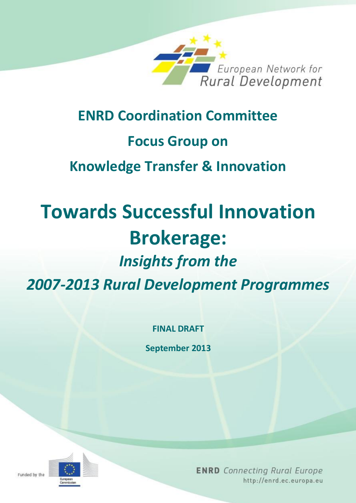

## **ENRD Coordination Committee Focus Group on**

**Knowledge Transfer & Innovation**

# **Towards Successful Innovation Brokerage:**  *Insights from the*

*2007-2013 Rural Development Programmes*

**FINAL DRAFT**

**September 2013**

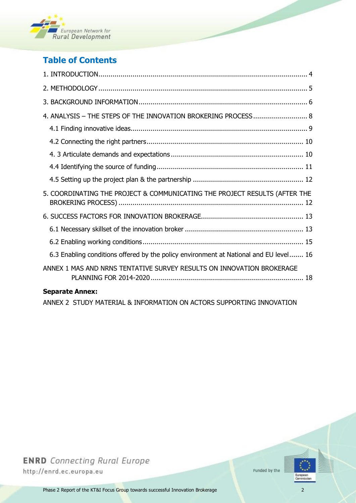

## **Table of Contents**

| 4. ANALYSIS - THE STEPS OF THE INNOVATION BROKERING PROCESS 8                         |  |
|---------------------------------------------------------------------------------------|--|
|                                                                                       |  |
|                                                                                       |  |
|                                                                                       |  |
|                                                                                       |  |
|                                                                                       |  |
| 5. COORDINATING THE PROJECT & COMMUNICATING THE PROJECT RESULTS (AFTER THE            |  |
|                                                                                       |  |
|                                                                                       |  |
|                                                                                       |  |
| 6.3 Enabling conditions offered by the policy environment at National and EU level 16 |  |
| ANNEX 1 MAS AND NRNS TENTATIVE SURVEY RESULTS ON INNOVATION BROKERAGE                 |  |
|                                                                                       |  |

#### **Separate Annex:**

ANNEX 2 STUDY MATERIAL & INFORMATION ON ACTORS SUPPORTING INNOVATION

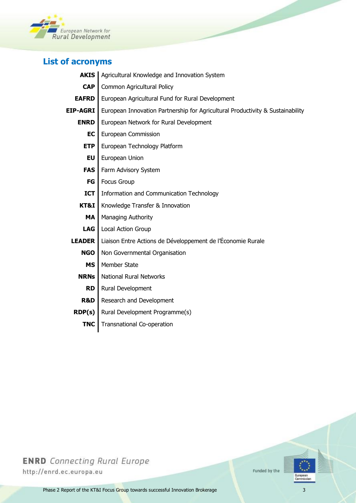

## **List of acronyms**

| <b>AKIS</b>     | Agricultural Knowledge and Innovation System                                   |
|-----------------|--------------------------------------------------------------------------------|
| <b>CAP</b>      | Common Agricultural Policy                                                     |
| <b>EAFRD</b>    | European Agricultural Fund for Rural Development                               |
| <b>EIP-AGRI</b> | European Innovation Partnership for Agricultural Productivity & Sustainability |
| <b>ENRD</b>     | European Network for Rural Development                                         |
| <b>EC</b>       | European Commission                                                            |
| <b>ETP</b>      | European Technology Platform                                                   |
| <b>EU</b>       | European Union                                                                 |
| <b>FAS</b>      | Farm Advisory System                                                           |
| <b>FG</b>       | <b>Focus Group</b>                                                             |
| <b>ICT</b>      | Information and Communication Technology                                       |
| KT&I            | Knowledge Transfer & Innovation                                                |
| <b>MA</b>       | Managing Authority                                                             |
| <b>LAG</b>      | Local Action Group                                                             |
| <b>LEADER</b>   | Liaison Entre Actions de Développement de l'Économie Rurale                    |
| <b>NGO</b>      | Non Governmental Organisation                                                  |
| <b>MS</b>       | Member State                                                                   |
| <b>NRNs</b>     | <b>National Rural Networks</b>                                                 |
| <b>RD</b>       | Rural Development                                                              |
| <b>R&amp;D</b>  | Research and Development                                                       |
| RDP(s)          | Rural Development Programme(s)                                                 |
| <b>TNC</b>      | Transnational Co-operation                                                     |
|                 |                                                                                |



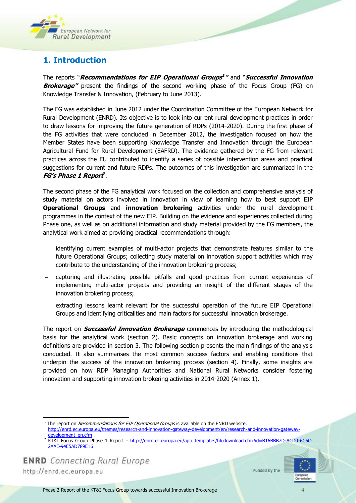

## <span id="page-3-0"></span>**1. Introduction**

The reports "**Recommendations for EIP Operational Groups 1 "** and "**Successful Innovation Brokerage"** present the findings of the second working phase of the Focus Group (FG) on Knowledge Transfer & Innovation, (February to June 2013).

The FG was established in June 2012 under the Coordination Committee of the European Network for Rural Development (ENRD). Its objective is to look into current rural development practices in order to draw lessons for improving the future generation of RDPs (2014-2020). During the first phase of the FG activities that were concluded in December 2012, the investigation focused on how the Member States have been supporting Knowledge Transfer and Innovation through the European Agricultural Fund for Rural Development (EAFRD). The evidence gathered by the FG from relevant practices across the EU contributed to identify a series of possible intervention areas and practical suggestions for current and future RDPs. The outcomes of this investigation are summarized in the **FG's Phase 1 Report** 2 .

The second phase of the FG analytical work focused on the collection and comprehensive analysis of study material on actors involved in innovation in view of learning how to best support EIP **Operational Groups** and **innovation brokering** activities under the rural development programmes in the context of the new EIP. Building on the evidence and experiences collected during Phase one, as well as on additional information and study material provided by the FG members, the analytical work aimed at providing practical recommendations through:

- identifying current examples of multi-actor projects that demonstrate features similar to the future Operational Groups; collecting study material on innovation support activities which may contribute to the understanding of the innovation brokering process;
- capturing and illustrating possible pitfalls and good practices from current experiences of implementing multi-actor projects and providing an insight of the different stages of the innovation brokering process;
- extracting lessons learnt relevant for the successful operation of the future EIP Operational Groups and identifying criticalities and main factors for successful innovation brokerage.

The report on **Successful Innovation Brokerage** commences by introducing the methodological basis for the analytical work (section 2). Basic concepts on innovation brokerage and working definitions are provided in section 3. The following section presents the main findings of the analysis conducted. It also summarises the most common success factors and enabling conditions that underpin the success of the innovation brokering process (section 4). Finally, some insights are provided on how RDP Managing Authorities and National Rural Networks consider fostering innovation and supporting innovation brokering activities in 2014-2020 (Annex 1).

<sup>1</sup> The report on *Recommendations for EIP Operational Groups* is available on the ENRD website.

http://enrd.ec.europa.eu

l



[http://enrd.ec.europa.eu/themes/research-and-innovation-gateway-development/en/research-and-innovation-gateway](http://enrd.ec.europa.eu/themes/research-and-innovation-gateway-development/en/research-and-innovation-gateway-development_en.cfm)[development\\_en.cfm](http://enrd.ec.europa.eu/themes/research-and-innovation-gateway-development/en/research-and-innovation-gateway-development_en.cfm)

<sup>&</sup>lt;sup>2</sup> KT&I Focus Group Phase 1 Report - [http://enrd.ec.europa.eu/app\\_templates/filedownload.cfm?id=B16BBB7D-ACD0-6C6C-](http://enrd.ec.europa.eu/app_templates/filedownload.cfm?id=B16BBB7D-ACD0-6C6C-2AAE-94E5AD789E16)[2AAE-94E5AD789E16](http://enrd.ec.europa.eu/app_templates/filedownload.cfm?id=B16BBB7D-ACD0-6C6C-2AAE-94E5AD789E16)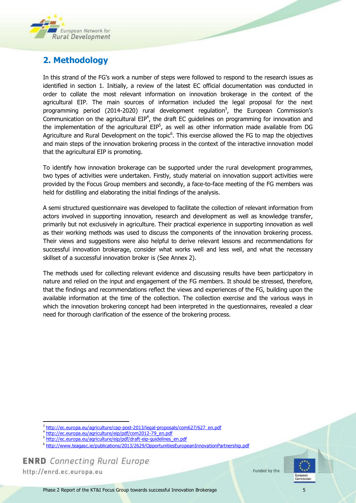

## <span id="page-4-0"></span>**2. Methodology**

In this strand of the FG's work a number of steps were followed to respond to the research issues as identified in section 1. Initially, a review of the latest EC official documentation was conducted in order to collate the most relevant information on innovation brokerage in the context of the agricultural EIP. The main sources of information included the legal proposal for the next programming period (2014-2020) rural development regulation<sup>3</sup>, the European Commission's Communication on the agricultural  $EIP<sup>4</sup>$ , the draft EC guidelines on programming for innovation and the implementation of the agricultural  $EIP<sup>5</sup>$ , as well as other information made available from DG Agriculture and Rural Development on the topic<sup>6</sup>. This exercise allowed the FG to map the objectives and main steps of the innovation brokering process in the context of the interactive innovation model that the agricultural EIP is promoting.

To identify how innovation brokerage can be supported under the rural development programmes, two types of activities were undertaken. Firstly, study material on innovation support activities were provided by the Focus Group members and secondly, a face-to-face meeting of the FG members was held for distilling and elaborating the initial findings of the analysis.

A semi structured questionnaire was developed to facilitate the collection of relevant information from actors involved in supporting innovation, research and development as well as knowledge transfer, primarily but not exclusively in agriculture. Their practical experience in supporting innovation as well as their working methods was used to discuss the components of the innovation brokering process. Their views and suggestions were also helpful to derive relevant lessons and recommendations for successful innovation brokerage, consider what works well and less well, and what the necessary skillset of a successful innovation broker is (See Annex 2).

The methods used for collecting relevant evidence and discussing results have been participatory in nature and relied on the input and engagement of the FG members. It should be stressed, therefore, that the findings and recommendations reflect the views and experiences of the FG, building upon the available information at the time of the collection. The collection exercise and the various ways in which the innovation brokering concept had been interpreted in the questionnaires, revealed a clear need for thorough clarification of the essence of the brokering process.

**ENRD** Connecting Rural Europe

http://enrd.ec.europa.eu

l



<sup>&</sup>lt;sup>3</sup> [http://ec.europa.eu/agriculture/cap-post-2013/legal-proposals/com627/627\\_en.pdf](http://ec.europa.eu/agriculture/cap-post-2013/legal-proposals/com627/627_en.pdf)

<sup>4</sup> [http://ec.europa.eu/agriculture/eip/pdf/com2012-79\\_en.pdf](http://ec.europa.eu/agriculture/eip/pdf/com2012-79_en.pdf)

<sup>&</sup>lt;sup>5</sup> [http://ec.europa.eu/agriculture/eip/pdf/draft-eip-guidelines\\_en.pdf](http://ec.europa.eu/agriculture/eip/pdf/draft-eip-guidelines_en.pdf)

<sup>&</sup>lt;sup>6</sup> <http://www.teagasc.ie/publications/2013/2629/OpportunitiesEuropeanInnovationPartnership.pdf>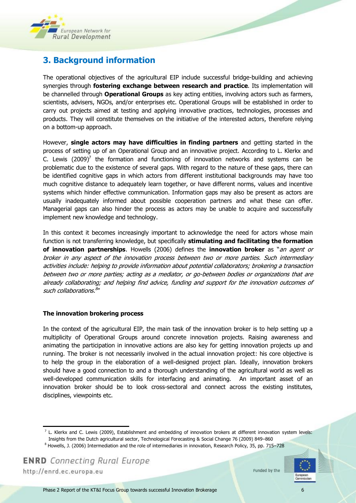

## <span id="page-5-0"></span>**3. Background information**

The operational objectives of the agricultural EIP include successful bridge-building and achieving synergies through **fostering exchange between research and practice**. Its implementation will be channelled through **Operational Groups** as key acting entities, involving actors such as farmers, scientists, advisers, NGOs, and/or enterprises etc. Operational Groups will be established in order to carry out projects aimed at testing and applying innovative practices, technologies, processes and products. They will constitute themselves on the initiative of the interested actors, therefore relying on a bottom-up approach.

However, **single actors may have difficulties in finding partners** and getting started in the process of setting up of an Operational Group and an innovative project. According to L. Klerkx and C. Lewis  $(2009)^7$  the formation and functioning of innovation networks and systems can be problematic due to the existence of several gaps. With regard to the nature of these gaps, there can be identified cognitive gaps in which actors from different institutional backgrounds may have too much cognitive distance to adequately learn together, or have different norms, values and incentive systems which hinder effective communication. Information gaps may also be present as actors are usually inadequately informed about possible cooperation partners and what these can offer. Managerial gaps can also hinder the process as actors may be unable to acquire and successfully implement new knowledge and technology.

In this context it becomes increasingly important to acknowledge the need for actors whose main function is not transferring knowledge, but specifically **stimulating and facilitating the formation of innovation partnerships**. Howells (2006) defines the **innovation broker** as "an agent or broker in any aspect of the innovation process between two or more parties. Such intermediary activities include: helping to provide information about potential collaborators; brokering a transaction between two or more parties; acting as a mediator, or go-between bodies or organizations that are already collaborating; and helping find advice, funding and support for the innovation outcomes of such collaborations.<sup>8</sup>"

#### **The innovation brokering process**

In the context of the agricultural EIP, the main task of the innovation broker is to help setting up a multiplicity of Operational Groups around concrete innovation projects. Raising awareness and animating the participation in innovative actions are also key for getting innovation projects up and running. The broker is not necessarily involved in the actual innovation project: his core objective is to help the group in the elaboration of a well-designed project plan. Ideally, innovation brokers should have a good connection to and a thorough understanding of the agricultural world as well as well-developed communication skills for interfacing and animating. An important asset of an innovation broker should be to look cross-sectoral and connect across the existing institutes, disciplines, viewpoints etc.

**ENRD** Connecting Rural Europe

http://enrd.ec.europa.eu

l



 $^7$  L. Klerkx and C. Lewis (2009), Establishment and embedding of innovation brokers at different innovation system levels: Insights from the Dutch agricultural sector, Technological Forecasting & Social Change 76 (2009) 849–860

<sup>8</sup> Howells, J. (2006) Intermediation and the role of intermediaries in innovation, Research Policy, 35, pp. 715–728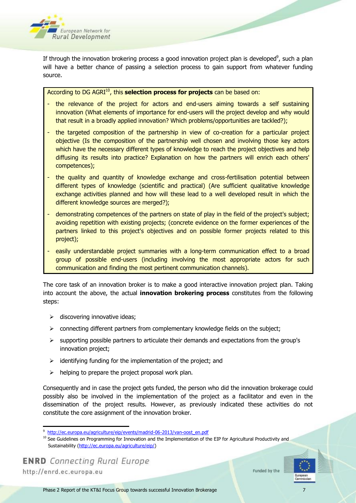

If through the innovation brokering process a good innovation project plan is developed<sup>9</sup>, such a plan will have a better chance of passing a selection process to gain support from whatever funding source.

According to DG AGRI<sup>10</sup>, this **selection process for projects** can be based on:

- the relevance of the project for actors and end-users aiming towards a self sustaining innovation (What elements of importance for end-users will the project develop and why would that result in a broadly applied innovation? Which problems/opportunities are tackled?);
- the targeted composition of the partnership in view of co-creation for a particular project objective (Is the composition of the partnership well chosen and involving those key actors which have the necessary different types of knowledge to reach the project objectives and help diffusing its results into practice? Explanation on how the partners will enrich each others' competences);
- the quality and quantity of knowledge exchange and cross-fertilisation potential between different types of knowledge (scientific and practical) (Are sufficient qualitative knowledge exchange activities planned and how will these lead to a well developed result in which the different knowledge sources are merged?);
- demonstrating competences of the partners on state of play in the field of the project's subject; avoiding repetition with existing projects; (concrete evidence on the former experiences of the partners linked to this project's objectives and on possible former projects related to this project);
- easily understandable project summaries with a long-term communication effect to a broad group of possible end-users (including involving the most appropriate actors for such communication and finding the most pertinent communication channels).

The core task of an innovation broker is to make a good interactive innovation project plan. Taking into account the above, the actual **innovation brokering process** constitutes from the following steps:

- $\triangleright$  discovering innovative ideas;
- $\triangleright$  connecting different partners from complementary knowledge fields on the subject;
- $\triangleright$  supporting possible partners to articulate their demands and expectations from the group's innovation project;
- $\geq$  identifying funding for the implementation of the project; and
- $\triangleright$  helping to prepare the project proposal work plan.

Consequently and in case the project gets funded, the person who did the innovation brokerage could possibly also be involved in the implementation of the project as a facilitator and even in the dissemination of the project results. However, as previously indicated these activities do not constitute the core assignment of the innovation broker.

l



<sup>9</sup> [http://ec.europa.eu/agriculture/eip/events/madrid-06-2013/van-oost\\_en.pdf](http://ec.europa.eu/agriculture/eip/events/madrid-06-2013/van-oost_en.pdf)

<sup>&</sup>lt;sup>10</sup> See Guidelines on Programming for Innovation and the Implementation of the EIP for Agricultural Productivity and Sustainability [\(http://ec.europa.eu/agriculture/eip/\)](http://ec.europa.eu/agriculture/eip/)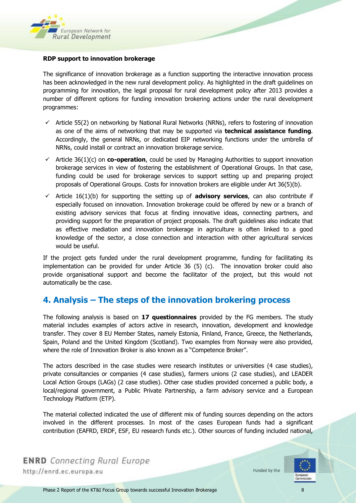

#### **RDP support to innovation brokerage**

The significance of innovation brokerage as a function supporting the interactive innovation process has been acknowledged in the new rural development policy. As highlighted in the draft guidelines on programming for innovation, the legal proposal for rural development policy after 2013 provides a number of different options for funding innovation brokering actions under the rural development programmes:

- $\checkmark$  Article 55(2) on networking by National Rural Networks (NRNs), refers to fostering of innovation as one of the aims of networking that may be supported via **technical assistance funding**. Accordingly, the general NRNs, or dedicated EIP networking functions under the umbrella of NRNs, could install or contract an innovation brokerage service.
- $\checkmark$  Article 36(1)(c) on **co-operation**, could be used by Managing Authorities to support innovation brokerage services in view of fostering the establishment of Operational Groups. In that case, funding could be used for brokerage services to support setting up and preparing project proposals of Operational Groups. Costs for innovation brokers are eligible under Art 36(5)(b).
- $\checkmark$  Article 16(1)(b) for supporting the setting up of **advisory services**, can also contribute if especially focused on innovation. Innovation brokerage could be offered by new or a branch of existing advisory services that focus at finding innovative ideas, connecting partners, and providing support for the preparation of project proposals. The draft guidelines also indicate that as effective mediation and innovation brokerage in agriculture is often linked to a good knowledge of the sector, a close connection and interaction with other agricultural services would be useful.

If the project gets funded under the rural development programme, funding for facilitating its implementation can be provided for under Article 36 (5) (c). The innovation broker could also provide organisational support and become the facilitator of the project, but this would not automatically be the case.

## <span id="page-7-0"></span>**4. Analysis – The steps of the innovation brokering process**

The following analysis is based on **17 questionnaires** provided by the FG members. The study material includes examples of actors active in research, innovation, development and knowledge transfer. They cover 8 EU Member States, namely Estonia, Finland, France, Greece, the Netherlands, Spain, Poland and the United Kingdom (Scotland). Two examples from Norway were also provided, where the role of Innovation Broker is also known as a "Competence Broker".

The actors described in the case studies were research institutes or universities (4 case studies), private consultancies or companies (4 case studies), farmers unions (2 case studies), and LEADER Local Action Groups (LAGs) (2 case studies). Other case studies provided concerned a public body, a local/regional government, a Public Private Partnership, a farm advisory service and a European Technology Platform (ETP).

The material collected indicated the use of different mix of funding sources depending on the actors involved in the different processes. In most of the cases European funds had a significant contribution (EAFRD, ERDF, ESF, EU research funds etc.). Other sources of funding included national,

**ENRD** Connecting Rural Europe http://enrd.ec.europa.eu

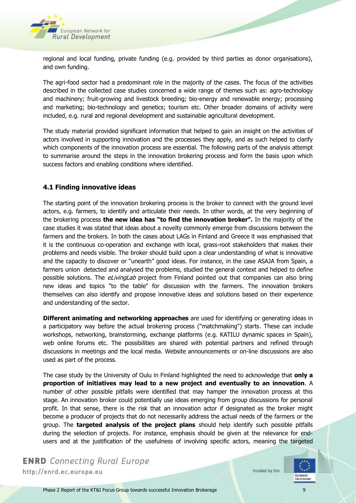

regional and local funding, private funding (e.g. provided by third parties as donor organisations), and own funding.

The agri-food sector had a predominant role in the majority of the cases. The focus of the activities described in the collected case studies concerned a wide range of themes such as: agro-technology and machinery; fruit-growing and livestock breeding; bio-energy and renewable energy; processing and marketing; bio-technology and genetics; tourism etc. Other broader domains of activity were included, e.g. rural and regional development and sustainable agricultural development.

The study material provided significant information that helped to gain an insight on the activities of actors involved in supporting innovation and the processes they apply, and as such helped to clarify which components of the innovation process are essential. The following parts of the analysis attempt to summarise around the steps in the innovation brokering process and form the basis upon which success factors and enabling conditions where identified.

#### <span id="page-8-0"></span>**4.1 Finding innovative ideas**

The starting point of the innovation brokering process is the broker to connect with the ground level actors, e.g. farmers, to identify and articulate their needs. In other words, at the very beginning of the brokering process **the new idea has "to find the innovation broker".** In the majority of the case studies it was stated that ideas about a novelty commonly emerge from discussions between the farmers and the brokers. In both the cases about LAGs in Finland and Greece it was emphasised that it is the continuous co-operation and exchange with local, grass-root stakeholders that makes their problems and needs visible. The broker should build upon a clear understanding of what is innovative and the capacity to discover or "unearth" good ideas. For instance, in the case ASAJA from Spain, a farmers union detected and analysed the problems, studied the general context and helped to define possible solutions. The *eLivingLab* project from Finland pointed out that companies can also bring new ideas and topics "to the table" for discussion with the farmers. The innovation brokers themselves can also identify and propose innovative ideas and solutions based on their experience and understanding of the sector.

**Different animating and networking approaches** are used for identifying or generating ideas in a participatory way before the actual brokering process ("matchmaking") starts. These can include workshops, networking, brainstorming, exchange platforms (e.g. KATILU dynamic spaces in Spain), web online forums etc. The possibilities are shared with potential partners and refined through discussions in meetings and the local media. Website announcements or on-line discussions are also used as part of the process.

The case study by the University of Oulu in Finland highlighted the need to acknowledge that **only a proportion of initiatives may lead to a new project and eventually to an innovation**. A number of other possible pitfalls were identified that may hamper the innovation process at this stage. An innovation broker could potentially use ideas emerging from group discussions for personal profit. In that sense, there is the risk that an innovation actor if designated as the broker might become a producer of projects that do not necessarily address the actual needs of the farmers or the group. The **targeted analysis of the project plans** should help identify such possible pitfalls during the selection of projects. For instance, emphasis should be given at the relevance for endusers and at the justification of the usefulness of involving specific actors, meaning the targeted

**ENRD** Connecting Rural Europe http://enrd.ec.europa.eu

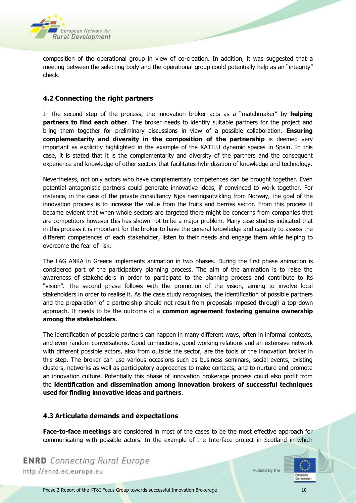

composition of the operational group in view of co-creation. In addition, it was suggested that a meeting between the selecting body and the operational group could potentially help as an "integrity" check.

#### <span id="page-9-0"></span>**4.2 Connecting the right partners**

In the second step of the process, the innovation broker acts as a "matchmaker" by **helping partners to find each other**. The broker needs to identify suitable partners for the project and bring them together for preliminary discussions in view of a possible collaboration. **Ensuring complementarity and diversity in the composition of the partnership** is deemed very important as explicitly highlighted in the example of the KATILU dynamic spaces in Spain. In this case, it is stated that it is the complementarity and diversity of the partners and the consequent experience and knowledge of other sectors that facilitates hybridization of knowledge and technology.

Nevertheless, not only actors who have complementary competences can be brought together. Even potential antagonistic partners could generate innovative ideas, if convinced to work together. For instance, in the case of the private consultancy Njøs næringsutvikling from Norway, the goal of the innovation process is to increase the value from the fruits and berries sector. From this process it became evident that when whole sectors are targeted there might be concerns from companies that are competitors however this has shown not to be a major problem. Many case studies indicated that in this process it is important for the broker to have the general knowledge and capacity to assess the different competences of each stakeholder, listen to their needs and engage them while helping to overcome the fear of risk.

The LAG ANKA in Greece implements animation in two phases. During the first phase animation is considered part of the participatory planning process. The aim of the animation is to raise the awareness of stakeholders in order to participate to the planning process and contribute to its "vision". The second phase follows with the promotion of the vision, aiming to involve local stakeholders in order to realise it. As the case study recognises, the identification of possible partners and the preparation of a partnership should not result from proposals imposed through a top-down approach. It needs to be the outcome of a **common agreement fostering genuine ownership among the stakeholders**.

The identification of possible partners can happen in many different ways, often in informal contexts, and even random conversations. Good connections, good working relations and an extensive network with different possible actors, also from outside the sector, are the tools of the innovation broker in this step. The broker can use various occasions such as business seminars, social events, existing clusters, networks as well as participatory approaches to make contacts, and to nurture and promote an innovation culture. Potentially this phase of innovation brokerage process could also profit from the **identification and dissemination among innovation brokers of successful techniques used for finding innovative ideas and partners**.

#### <span id="page-9-1"></span>**4.3 Articulate demands and expectations**

**Face-to-face meetings** are considered in most of the cases to be the most effective approach for communicating with possible actors. In the example of the Interface project in Scotland in which

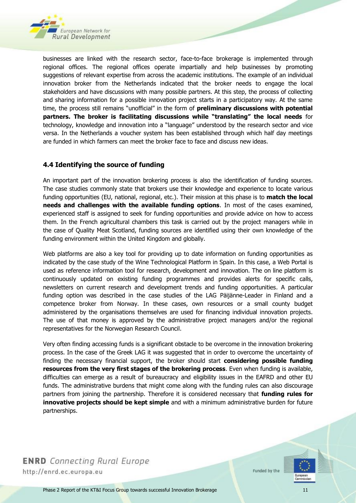

businesses are linked with the research sector, face-to-face brokerage is implemented through regional offices. The regional offices operate impartially and help businesses by promoting suggestions of relevant expertise from across the academic institutions. The example of an individual innovation broker from the Netherlands indicated that the broker needs to engage the local stakeholders and have discussions with many possible partners. At this step, the process of collecting and sharing information for a possible innovation project starts in a participatory way. At the same time, the process still remains "unofficial" in the form of **preliminary discussions with potential partners. The broker is facilitating discussions while "translating" the local needs** for technology, knowledge and innovation into a "language" understood by the research sector and vice versa. In the Netherlands a voucher system has been established through which half day meetings are funded in which farmers can meet the broker face to face and discuss new ideas.

#### <span id="page-10-0"></span>**4.4 Identifying the source of funding**

An important part of the innovation brokering process is also the identification of funding sources. The case studies commonly state that brokers use their knowledge and experience to locate various funding opportunities (EU, national, regional, etc.). Their mission at this phase is to **match the local needs and challenges with the available funding options**. In most of the cases examined, experienced staff is assigned to seek for funding opportunities and provide advice on how to access them. In the French agricultural chambers this task is carried out by the project managers while in the case of Quality Meat Scotland, funding sources are identified using their own knowledge of the funding environment within the United Kingdom and globally.

Web platforms are also a key tool for providing up to date information on funding opportunities as indicated by the case study of the Wine Technological Platform in Spain. In this case, a Web Portal is used as reference information tool for research, development and innovation. The on line platform is continuously updated on existing funding programmes and provides alerts for specific calls, newsletters on current research and development trends and funding opportunities. A particular funding option was described in the case studies of the LAG Päijänne-Leader in Finland and a competence broker from Norway. In these cases, own resources or a small county budget administered by the organisations themselves are used for financing individual innovation projects. The use of that money is approved by the administrative project managers and/or the regional representatives for the Norwegian Research Council.

Very often finding accessing funds is a significant obstacle to be overcome in the innovation brokering process. In the case of the Greek LAG it was suggested that in order to overcome the uncertainty of finding the necessary financial support, the broker should start **considering possible funding resources from the very first stages of the brokering process**. Even when funding is available, difficulties can emerge as a result of bureaucracy and eligibility issues in the EAFRD and other EU funds. The administrative burdens that might come along with the funding rules can also discourage partners from joining the partnership. Therefore it is considered necessary that **funding rules for innovative projects should be kept simple** and with a minimum administrative burden for future partnerships.

**ENRD** Connecting Rural Europe http://enrd.ec.europa.eu

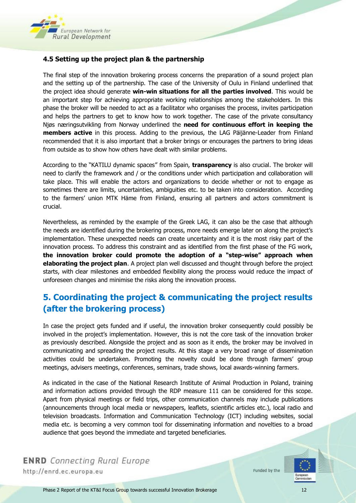

#### <span id="page-11-0"></span>**4.5 Setting up the project plan & the partnership**

The final step of the innovation brokering process concerns the preparation of a sound project plan and the setting up of the partnership. The case of the University of Oulu in Finland underlined that the project idea should generate **win-win situations for all the parties involved**. This would be an important step for achieving appropriate working relationships among the stakeholders. In this phase the broker will be needed to act as a facilitator who organises the process, invites participation and helps the partners to get to know how to work together. The case of the private consultancy Njøs næringsutvikling from Norway underlined the **need for continuous effort in keeping the members active** in this process. Adding to the previous, the LAG Päijänne-Leader from Finland recommended that it is also important that a broker brings or encourages the partners to bring ideas from outside as to show how others have dealt with similar problems.

According to the "KATILU dynamic spaces" from Spain, **transparency** is also crucial. The broker will need to clarify the framework and / or the conditions under which participation and collaboration will take place. This will enable the actors and organizations to decide whether or not to engage as sometimes there are limits, uncertainties, ambiguities etc. to be taken into consideration. According to the farmers' union MTK Häme from Finland, ensuring all partners and actors commitment is crucial.

Nevertheless, as reminded by the example of the Greek LAG, it can also be the case that although the needs are identified during the brokering process, more needs emerge later on along the project's implementation. These unexpected needs can create uncertainty and it is the most risky part of the innovation process. To address this constraint and as identified from the first phase of the FG work, **the innovation broker could promote the adoption of a "step-wise" approach when elaborating the project plan**. A project plan well discussed and thought through before the project starts, with clear milestones and embedded flexibility along the process would reduce the impact of unforeseen changes and minimise the risks along the innovation process.

## <span id="page-11-1"></span>**5. Coordinating the project & communicating the project results (after the brokering process)**

In case the project gets funded and if useful, the innovation broker consequently could possibly be involved in the project's implementation. However, this is not the core task of the innovation broker as previously described. Alongside the project and as soon as it ends, the broker may be involved in communicating and spreading the project results. At this stage a very broad range of dissemination activities could be undertaken. Promoting the novelty could be done through farmers' group meetings, advisers meetings, conferences, seminars, trade shows, local awards-winning farmers.

As indicated in the case of the National Research Institute of Animal Production in Poland, training and information actions provided through the RDP measure 111 can be considered for this scope. Apart from physical meetings or field trips, other communication channels may include publications (announcements through local media or newspapers, leaflets, scientific articles etc.), local radio and television broadcasts. Information and Communication Technology (ICT) including websites, social media etc. is becoming a very common tool for disseminating information and novelties to a broad audience that goes beyond the immediate and targeted beneficiaries.

**ENRD** Connecting Rural Europe http://enrd.ec.europa.eu

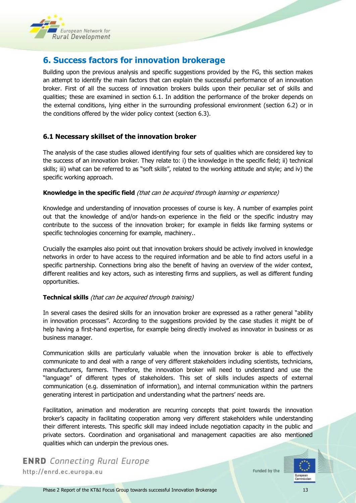

## <span id="page-12-0"></span>**6. Success factors for innovation brokerage**

Building upon the previous analysis and specific suggestions provided by the FG, this section makes an attempt to identify the main factors that can explain the successful performance of an innovation broker. First of all the success of innovation brokers builds upon their peculiar set of skills and qualities; these are examined in section 6.1. In addition the performance of the broker depends on the external conditions, lying either in the surrounding professional environment (section 6.2) or in the conditions offered by the wider policy context (section 6.3).

#### <span id="page-12-1"></span>**6.1 Necessary skillset of the innovation broker**

The analysis of the case studies allowed identifying four sets of qualities which are considered key to the success of an innovation broker. They relate to: i) the knowledge in the specific field; ii) technical skills; iii) what can be referred to as "soft skills", related to the working attitude and style; and iv) the specific working approach.

#### **Knowledge in the specific field** (that can be acquired through learning or experience)

Knowledge and understanding of innovation processes of course is key. A number of examples point out that the knowledge of and/or hands-on experience in the field or the specific industry may contribute to the success of the innovation broker; for example in fields like farming systems or specific technologies concerning for example, machinery..

Crucially the examples also point out that innovation brokers should be actively involved in knowledge networks in order to have access to the required information and be able to find actors useful in a specific partnership. Connections bring also the benefit of having an overview of the wider context, different realities and key actors, such as interesting firms and suppliers, as well as different funding opportunities.

#### **Technical skills** (that can be acquired through training)

In several cases the desired skills for an innovation broker are expressed as a rather general "ability in innovation processes". According to the suggestions provided by the case studies it might be of help having a first-hand expertise, for example being directly involved as innovator in business or as business manager.

Communication skills are particularly valuable when the innovation broker is able to effectively communicate to and deal with a range of very different stakeholders including scientists, technicians, manufacturers, farmers. Therefore, the innovation broker will need to understand and use the "language" of different types of stakeholders. This set of skills includes aspects of external communication (e.g. dissemination of information), and internal communication within the partners generating interest in participation and understanding what the partners' needs are.

Facilitation, animation and moderation are recurring concepts that point towards the innovation broker's capacity in facilitating cooperation among very different stakeholders while understanding their different interests. This specific skill may indeed include negotiation capacity in the public and private sectors. Coordination and organisational and management capacities are also mentioned qualities which can underpin the previous ones.

**ENRD** Connecting Rural Europe http://enrd.ec.europa.eu

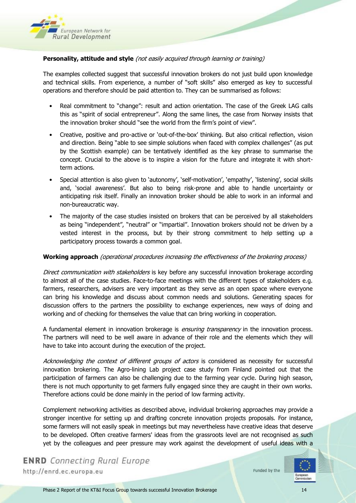

#### **Personality, attitude and style** (not easily acquired through learning or training)

The examples collected suggest that successful innovation brokers do not just build upon knowledge and technical skills. From experience, a number of "soft skills" also emerged as key to successful operations and therefore should be paid attention to. They can be summarised as follows:

- Real commitment to "change": result and action orientation. The case of the Greek LAG calls this as "spirit of social entrepreneur". Along the same lines, the case from Norway insists that the innovation broker should "see the world from the firm's point of view".
- Creative, positive and pro-active or 'out-of-the-box' thinking. But also critical reflection, vision and direction. Being "able to see simple solutions when faced with complex challenges" (as put by the Scottish example) can be tentatively identified as the key phrase to summarise the concept. Crucial to the above is to inspire a vision for the future and integrate it with shortterm actions.
- Special attention is also given to 'autonomy', 'self-motivation', 'empathy', 'listening', social skills and, 'social awareness'. But also to being risk-prone and able to handle uncertainty or anticipating risk itself. Finally an innovation broker should be able to work in an informal and non-bureaucratic way.
- The majority of the case studies insisted on brokers that can be perceived by all stakeholders as being "independent", "neutral" or "impartial". Innovation brokers should not be driven by a vested interest in the process, but by their strong commitment to help setting up a participatory process towards a common goal.

#### **Working approach** (operational procedures increasing the effectiveness of the brokering process)

Direct communication with stakeholders is key before any successful innovation brokerage according to almost all of the case studies. Face-to-face meetings with the different types of stakeholders e.g. farmers, researchers, advisers are very important as they serve as an open space where everyone can bring his knowledge and discuss about common needs and solutions. Generating spaces for discussion offers to the partners the possibility to exchange experiences, new ways of doing and working and of checking for themselves the value that can bring working in cooperation.

A fundamental element in innovation brokerage is *ensuring transparency* in the innovation process. The partners will need to be well aware in advance of their role and the elements which they will have to take into account during the execution of the project.

Acknowledging the context of different groups of actors is considered as necessity for successful innovation brokering. The Agro-lining Lab project case study from Finland pointed out that the participation of farmers can also be challenging due to the farming year cycle. During high season, there is not much opportunity to get farmers fully engaged since they are caught in their own works. Therefore actions could be done mainly in the period of low farming activity.

Complement networking activities as described above, individual brokering approaches may provide a stronger incentive for setting up and drafting concrete innovation projects proposals. For instance, some farmers will not easily speak in meetings but may nevertheless have creative ideas that deserve to be developed. Often creative farmers' ideas from the grassroots level are not recognised as such yet by the colleagues and peer pressure may work against the development of useful ideas with a

**ENRD** Connecting Rural Europe http://enrd.ec.europa.eu

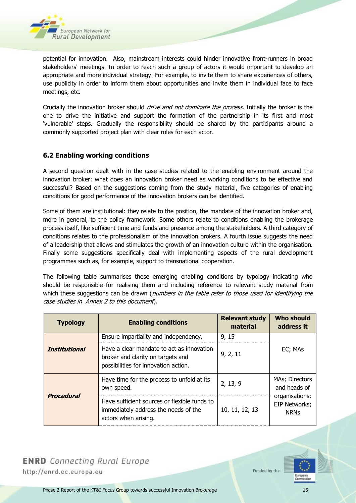

potential for innovation. Also, mainstream interests could hinder innovative front-runners in broad stakeholders' meetings. In order to reach such a group of actors it would important to develop an appropriate and more individual strategy. For example, to invite them to share experiences of others, use publicity in order to inform them about opportunities and invite them in individual face to face meetings, etc.

Crucially the innovation broker should *drive and not dominate the process*. Initially the broker is the one to drive the initiative and support the formation of the partnership in its first and most 'vulnerable' steps. Gradually the responsibility should be shared by the participants around a commonly supported project plan with clear roles for each actor.

#### <span id="page-14-0"></span>**6.2 Enabling working conditions**

A second question dealt with in the case studies related to the enabling environment around the innovation broker: what does an innovation broker need as working conditions to be effective and successful? Based on the suggestions coming from the study material, five categories of enabling conditions for good performance of the innovation brokers can be identified.

Some of them are institutional: they relate to the position, the mandate of the innovation broker and, more in general, to the policy framework. Some others relate to conditions enabling the brokerage process itself, like sufficient time and funds and presence among the stakeholders. A third category of conditions relates to the professionalism of the innovation brokers. A fourth issue suggests the need of a leadership that allows and stimulates the growth of an innovation culture within the organisation. Finally some suggestions specifically deal with implementing aspects of the rural development programmes such as, for example, support to transnational cooperation.

The following table summarises these emerging enabling conditions by typology indicating who should be responsible for realising them and including reference to relevant study material from which these suggestions can be drawn (*numbers in the table refer to those used for identifying the* case studies in Annex 2 to this document).

| <b>Typology</b>      | <b>Enabling conditions</b>                                                                                             | <b>Relevant study</b><br>material | <b>Who should</b><br>address it                       |
|----------------------|------------------------------------------------------------------------------------------------------------------------|-----------------------------------|-------------------------------------------------------|
|                      | Ensure impartiality and independency.                                                                                  | 9, 15                             |                                                       |
| <b>Institutional</b> | Have a clear mandate to act as innovation<br>broker and clarity on targets and<br>possibilities for innovation action. | 9, 2, 11                          | EC; MAs                                               |
|                      | Have time for the process to unfold at its<br>own speed.                                                               | 2, 13, 9                          | MAs; Directors<br>and heads of                        |
| <b>Procedural</b>    | Have sufficient sources or flexible funds to<br>immediately address the needs of the<br>actors when arising.           | 10, 11, 12, 13                    | organisations;<br><b>EIP Networks;</b><br><b>NRNs</b> |



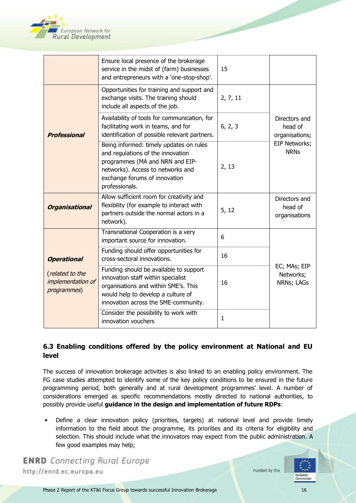

|                                                     | Ensure local presence of the brokerage<br>service in the midst of (farm) businesses<br>and entrepreneurs with a 'one-stop-shop'.                                                                        | 15       |                                            |
|-----------------------------------------------------|---------------------------------------------------------------------------------------------------------------------------------------------------------------------------------------------------------|----------|--------------------------------------------|
|                                                     | Opportunities for training and support and<br>exchange visits. The training should<br>include all aspects of the job.                                                                                   | 2, 7, 11 |                                            |
| <b>Professional</b>                                 | Availability of tools for communication, for<br>facilitating work in teams, and for<br>identification of possible relevant partners.                                                                    | 6, 2, 3  | Directors and<br>head of<br>organisations; |
|                                                     | Being informed: timely updates on rules<br>and regulations of the innovation<br>programmes (MA and NRN and EIP-<br>networks). Access to networks and<br>exchange forums of innovation<br>professionals. | 2, 13    | EIP Networks;<br><b>NRNs</b>               |
| <b>Organisational</b>                               | Allow sufficient room for creativity and<br>flexibility (for example to interact with<br>partners outside the normal actors in a<br>network).                                                           | 5, 12    | Directors and<br>head of<br>organisations  |
|                                                     | Transnational Cooperation is a very<br>important source for innovation.                                                                                                                                 | 6        |                                            |
| <b>Operational</b>                                  | Funding should offer opportunities for<br>cross-sectoral innovations.                                                                                                                                   | 16       |                                            |
| (related to the<br>implementation of<br>programmes) | Funding should be available to support<br>innovation staff within specialist<br>organisations and within SME's. This<br>would help to develop a culture of<br>innovation across the SME-community.      | 16       | EC; MAs; EIP<br>Networks;<br>NRNs; LAGs    |
|                                                     | Consider the possibility to work with<br>innovation vouchers                                                                                                                                            | 1        |                                            |

#### <span id="page-15-0"></span>**6.3 Enabling conditions offered by the policy environment at National and EU level**

The success of innovation brokerage activities is also linked to an enabling policy environment. The FG case studies attempted to identify some of the key policy conditions to be ensured in the future programming period, both generally and at rural development programmes' level. A number of considerations emerged as specific recommendations mostly directed to national authorities, to possibly provide useful **guidance in the design and implementation of future RDPs**:

• Define a clear innovation policy (priorities, targets) at national level and provide timely information to the field about the programme, its priorities and its criteria for eligibility and selection. This should include what the innovators may expect from the public administration. A few good examples may help;

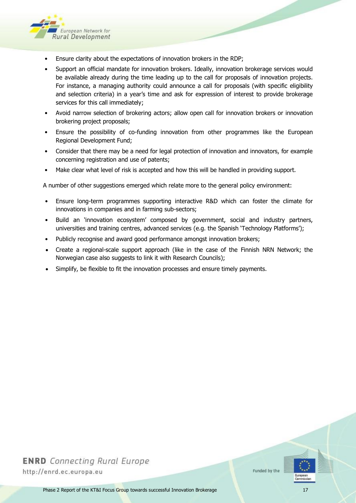

- Ensure clarity about the expectations of innovation brokers in the RDP;
- Support an official mandate for innovation brokers. Ideally, innovation brokerage services would be available already during the time leading up to the call for proposals of innovation projects. For instance, a managing authority could announce a call for proposals (with specific eligibility and selection criteria) in a year's time and ask for expression of interest to provide brokerage services for this call immediately;
- Avoid narrow selection of brokering actors; allow open call for innovation brokers or innovation brokering project proposals;
- Ensure the possibility of co-funding innovation from other programmes like the European Regional Development Fund;
- Consider that there may be a need for legal protection of innovation and innovators, for example concerning registration and use of patents;
- Make clear what level of risk is accepted and how this will be handled in providing support.

A number of other suggestions emerged which relate more to the general policy environment:

- Ensure long-term programmes supporting interactive R&D which can foster the climate for innovations in companies and in farming sub-sectors;
- Build an 'innovation ecosystem' composed by government, social and industry partners, universities and training centres, advanced services (e.g. the Spanish 'Technology Platforms');
- Publicly recognise and award good performance amongst innovation brokers;
- Create a regional-scale support approach (like in the case of the Finnish NRN Network; the Norwegian case also suggests to link it with Research Councils);
- Simplify, be flexible to fit the innovation processes and ensure timely payments.



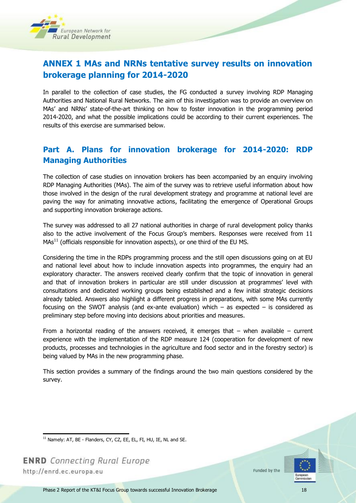

## <span id="page-17-0"></span>**ANNEX 1 MAs and NRNs tentative survey results on innovation brokerage planning for 2014-2020**

In parallel to the collection of case studies, the FG conducted a survey involving RDP Managing Authorities and National Rural Networks. The aim of this investigation was to provide an overview on MAs' and NRNs' state-of-the-art thinking on how to foster innovation in the programming period 2014-2020, and what the possible implications could be according to their current experiences. The results of this exercise are summarised below.

## **Part A. Plans for innovation brokerage for 2014-2020: RDP Managing Authorities**

The collection of case studies on innovation brokers has been accompanied by an enquiry involving RDP Managing Authorities (MAs). The aim of the survey was to retrieve useful information about how those involved in the design of the rural development strategy and programme at national level are paving the way for animating innovative actions, facilitating the emergence of Operational Groups and supporting innovation brokerage actions.

The survey was addressed to all 27 national authorities in charge of rural development policy thanks also to the active involvement of the Focus Group's members. Responses were received from 11 MAs<sup>11</sup> (officials responsible for innovation aspects), or one third of the EU MS.

Considering the time in the RDPs programming process and the still open discussions going on at EU and national level about how to include innovation aspects into programmes, the enquiry had an exploratory character. The answers received clearly confirm that the topic of innovation in general and that of innovation brokers in particular are still under discussion at programmes' level with consultations and dedicated working groups being established and a few initial strategic decisions already tabled. Answers also highlight a different progress in preparations, with some MAs currently focusing on the SWOT analysis (and ex-ante evaluation) which  $-$  as expected  $-$  is considered as preliminary step before moving into decisions about priorities and measures.

From a horizontal reading of the answers received, it emerges that  $-$  when available  $-$  current experience with the implementation of the RDP measure 124 (cooperation for development of new products, processes and technologies in the agriculture and food sector and in the forestry sector) is being valued by MAs in the new programming phase.

This section provides a summary of the findings around the two main questions considered by the survey.

**ENRD** Connecting Rural Europe http://enrd.ec.europa.eu

l



 $11$  Namely: AT, BE - Flanders, CY, CZ, EE, EL, FI, HU, IE, NL and SE.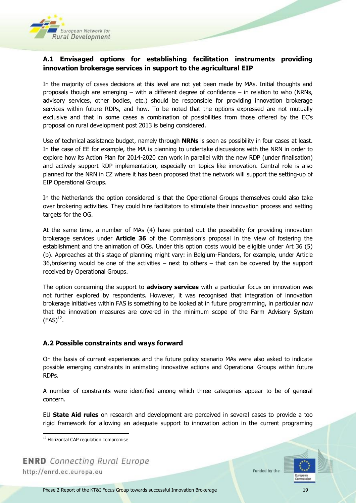

#### **A.1 Envisaged options for establishing facilitation instruments providing innovation brokerage services in support to the agricultural EIP**

In the majority of cases decisions at this level are not yet been made by MAs. Initial thoughts and proposals though are emerging – with a different degree of confidence – in relation to who (NRNs, advisory services, other bodies, etc.) should be responsible for providing innovation brokerage services within future RDPs, and how. To be noted that the options expressed are not mutually exclusive and that in some cases a combination of possibilities from those offered by the EC's proposal on rural development post 2013 is being considered.

Use of technical assistance budget, namely through **NRNs** is seen as possibility in four cases at least. In the case of EE for example, the MA is planning to undertake discussions with the NRN in order to explore how its Action Plan for 2014-2020 can work in parallel with the new RDP (under finalisation) and actively support RDP implementation, especially on topics like innovation. Central role is also planned for the NRN in CZ where it has been proposed that the network will support the setting-up of EIP Operational Groups.

In the Netherlands the option considered is that the Operational Groups themselves could also take over brokering activities. They could hire facilitators to stimulate their innovation process and setting targets for the OG.

At the same time, a number of MAs (4) have pointed out the possibility for providing innovation brokerage services under **Article 36** of the Commission's proposal in the view of fostering the establishment and the animation of OGs. Under this option costs would be eligible under Art 36 (5) (b). Approaches at this stage of planning might vary: in Belgium-Flanders, for example, under Article 36,brokering would be one of the activities – next to others – that can be covered by the support received by Operational Groups.

The option concerning the support to **advisory services** with a particular focus on innovation was not further explored by respondents. However, it was recognised that integration of innovation brokerage initiatives within FAS is something to be looked at in future programming, in particular now that the innovation measures are covered in the minimum scope of the Farm Advisory System  $(FAS)^{12}$ .

#### **A.2 Possible constraints and ways forward**

On the basis of current experiences and the future policy scenario MAs were also asked to indicate possible emerging constraints in animating innovative actions and Operational Groups within future RDPs.

A number of constraints were identified among which three categories appear to be of general concern.

EU **State Aid rules** on research and development are perceived in several cases to provide a too rigid framework for allowing an adequate support to innovation action in the current programing

l

**ENRD** Connecting Rural Europe http://enrd.ec.europa.eu



<sup>&</sup>lt;sup>12</sup> Horizontal CAP regulation compromise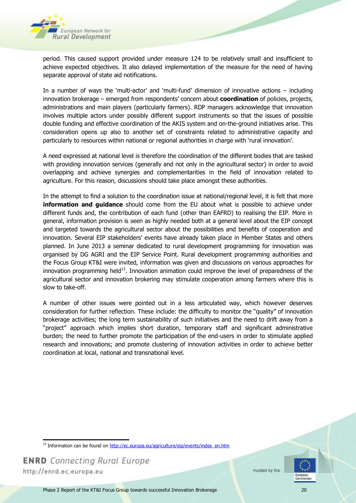

period. This caused support provided under measure 124 to be relatively small and insufficient to achieve expected objectives. It also delayed implementation of the measure for the need of having separate approval of state aid notifications.

In a number of ways the 'multi-actor' and 'multi-fund' dimension of innovative actions – including innovation brokerage – emerged from respondents' concern about **coordination** of policies, projects, administrations and main players (particularly farmers). RDP managers acknowledge that innovation involves multiple actors under possibly different support instruments so that the issues of possible double funding and effective coordination of the AKIS system and on-the-ground initiatives arise. This consideration opens up also to another set of constraints related to administrative capacity and particularly to resources within national or regional authorities in charge with 'rural innovation'.

A need expressed at national level is therefore the coordination of the different bodies that are tasked with providing innovation services (generally and not only in the agricultural sector) in order to avoid overlapping and achieve synergies and complementarities in the field of innovation related to agriculture. For this reason, discussions should take place amongst these authorities.

In the attempt to find a solution to the coordination issue at national/regional level, it is felt that more **information and guidance** should come from the EU about what is possible to achieve under different funds and, the contribution of each fund (other than EAFRD) to realising the EIP. More in general, information provision is seen as highly needed both at a general level about the EIP concept and targeted towards the agricultural sector about the possibilities and benefits of cooperation and innovation. Several EIP stakeholders' events have already taken place in Member States and others planned. In June 2013 a seminar dedicated to rural development programming for innovation was organised by DG AGRI and the EIP Service Point. Rural development programming authorities and the Focus Group KT&I were invited, information was given and discussions on various approaches for innovation programming held $^{13}$ . Innovation animation could improve the level of preparedness of the agricultural sector and innovation brokering may stimulate cooperation among farmers where this is slow to take-off.

A number of other issues were pointed out in a less articulated way, which however deserves consideration for further reflection. These include: the difficulty to monitor the "quality" of innovation brokerage activities; the long term sustainability of such initiatives and the need to drift away from a "project" approach which implies short duration, temporary staff and significant administrative burden; the need to further promote the participation of the end-users in order to stimulate applied research and innovations; and promote clustering of innovation activities in order to achieve better coordination at local, national and transnational level.





l  $13$  Information can be found on  $h$ ttp://ec.europa.eu/agriculture/eip/events/index\_en.htm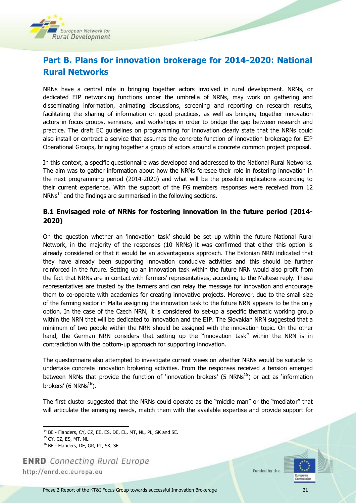

## **Part B. Plans for innovation brokerage for 2014-2020: National Rural Networks**

NRNs have a central role in bringing together actors involved in rural development. NRNs, or dedicated EIP networking functions under the umbrella of NRNs, may work on gathering and disseminating information, animating discussions, screening and reporting on research results, facilitating the sharing of information on good practices, as well as bringing together innovation actors in focus groups, seminars, and workshops in order to bridge the gap between research and practice. The draft EC guidelines on programming for innovation clearly state that the NRNs could also install or contract a service that assumes the concrete function of innovation brokerage for EIP Operational Groups, bringing together a group of actors around a concrete common project proposal.

In this context, a specific questionnaire was developed and addressed to the National Rural Networks. The aim was to gather information about how the NRNs foresee their role in fostering innovation in the next programming period (2014-2020) and what will be the possible implications according to their current experience. With the support of the FG members responses were received from 12  $NRNs^{14}$  and the findings are summarised in the following sections.

#### **B.1 Envisaged role of NRNs for fostering innovation in the future period (2014- 2020)**

On the question whether an 'innovation task' should be set up within the future National Rural Network, in the majority of the responses (10 NRNs) it was confirmed that either this option is already considered or that it would be an advantageous approach. The Estonian NRN indicated that they have already been supporting innovation conducive activities and this should be further reinforced in the future. Setting up an innovation task within the future NRN would also profit from the fact that NRNs are in contact with farmers' representatives, according to the Maltese reply. These representatives are trusted by the farmers and can relay the message for innovation and encourage them to co-operate with academics for creating innovative projects. Moreover, due to the small size of the farming sector in Malta assigning the innovation task to the future NRN appears to be the only option. In the case of the Czech NRN, it is considered to set-up a specific thematic working group within the NRN that will be dedicated to innovation and the EIP. The Slovakian NRN suggested that a minimum of two people within the NRN should be assigned with the innovation topic. On the other hand, the German NRN considers that setting up the "innovation task" within the NRN is in contradiction with the bottom-up approach for supporting innovation.

The questionnaire also attempted to investigate current views on whether NRNs would be suitable to undertake concrete innovation brokering activities. From the responses received a tension emerged between NRNs that provide the function of 'innovation brokers' (5  $NRNs<sup>15</sup>$ ) or act as 'information brokers' (6 NRNs $^{16}$ ).

The first cluster suggested that the NRNs could operate as the "middle man" or the "mediator" that will articulate the emerging needs, match them with the available expertise and provide support for

**ENRD** Connecting Rural Europe http://enrd.ec.europa.eu



l  $14$  BE - Flanders, CY, CZ, EE, ES, DE, EL, MT, NL, PL, SK and SE.

<sup>&</sup>lt;sup>15</sup> CY, CZ, ES, MT, NL

<sup>&</sup>lt;sup>16</sup> BE - Flanders, DE, GR, PL, SK, SE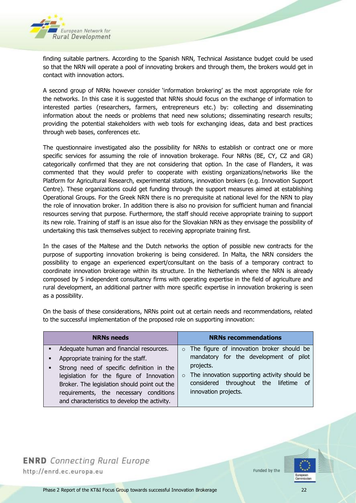

finding suitable partners. According to the Spanish NRN, Technical Assistance budget could be used so that the NRN will operate a pool of innovating brokers and through them, the brokers would get in contact with innovation actors.

A second group of NRNs however consider 'information brokering' as the most appropriate role for the networks. In this case it is suggested that NRNs should focus on the exchange of information to interested parties (researchers, farmers, entrepreneurs etc.) by: collecting and disseminating information about the needs or problems that need new solutions; disseminating research results; providing the potential stakeholders with web tools for exchanging ideas, data and best practices through web bases, conferences etc.

The questionnaire investigated also the possibility for NRNs to establish or contract one or more specific services for assuming the role of innovation brokerage. Four NRNs (BE, CY, CZ and GR) categorically confirmed that they are not considering that option. In the case of Flanders, it was commented that they would prefer to cooperate with existing organizations/networks like the Platform for Agricultural Research, experimental stations, innovation brokers (e.g. Innovation Support Centre). These organizations could get funding through the support measures aimed at establishing Operational Groups. For the Greek NRN there is no prerequisite at national level for the NRN to play the role of innovation broker. In addition there is also no provision for sufficient human and financial resources serving that purpose. Furthermore, the staff should receive appropriate training to support its new role. Training of staff is an issue also for the Slovakian NRN as they envisage the possibility of undertaking this task themselves subject to receiving appropriate training first.

In the cases of the Maltese and the Dutch networks the option of possible new contracts for the purpose of supporting innovation brokering is being considered. In Malta, the NRN considers the possibility to engage an experienced expert/consultant on the basis of a temporary contract to coordinate innovation brokerage within its structure. In the Netherlands where the NRN is already composed by 5 independent consultancy firms with operating expertise in the field of agriculture and rural development, an additional partner with more specific expertise in innovation brokering is seen as a possibility.

On the basis of these considerations, NRNs point out at certain needs and recommendations, related to the successful implementation of the proposed role on supporting innovation:

| <b>NRNs needs</b>                                                                                                                                                                                                                                                                                                                             | <b>NRNs recommendations</b>                                                                                                                                                                                                       |
|-----------------------------------------------------------------------------------------------------------------------------------------------------------------------------------------------------------------------------------------------------------------------------------------------------------------------------------------------|-----------------------------------------------------------------------------------------------------------------------------------------------------------------------------------------------------------------------------------|
| Adequate human and financial resources.<br>$\blacksquare$<br>Appropriate training for the staff.<br>٠<br>Strong need of specific definition in the<br>٠<br>legislation for the figure of Innovation<br>Broker. The legislation should point out the<br>requirements, the necessary conditions<br>and characteristics to develop the activity. | $\circ$ The figure of innovation broker should be<br>mandatory for the development of pilot<br>projects.<br>$\circ$ The innovation supporting activity should be<br>considered throughout the lifetime of<br>innovation projects. |

## **ENRD** Connecting Rural Europe

http://enrd.ec.europa.eu

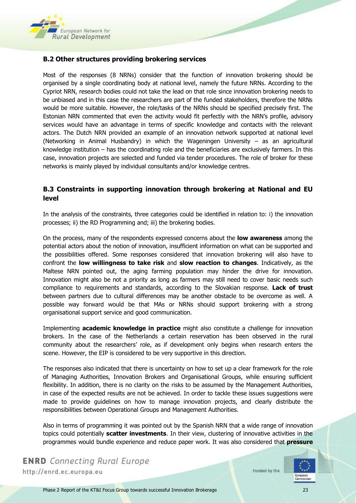

#### **B.2 Other structures providing brokering services**

Most of the responses (8 NRNs) consider that the function of innovation brokering should be organised by a single coordinating body at national level, namely the future NRNs. According to the Cypriot NRN, research bodies could not take the lead on that role since innovation brokering needs to be unbiased and in this case the researchers are part of the funded stakeholders, therefore the NRNs would be more suitable. However, the role/tasks of the NRNs should be specified precisely first. The Estonian NRN commented that even the activity would fit perfectly with the NRN's profile, advisory services would have an advantage in terms of specific knowledge and contacts with the relevant actors. The Dutch NRN provided an example of an innovation network supported at national level (Networking in Animal Husbandry) in which the Wageningen University – as an agricultural knowledge institution – has the coordinating role and the beneficiaries are exclusively farmers. In this case, innovation projects are selected and funded via tender procedures. The role of broker for these networks is mainly played by individual consultants and/or knowledge centres.

#### **B.3 Constraints in supporting innovation through brokering at National and EU level**

In the analysis of the constraints, three categories could be identified in relation to: i) the innovation processes; ii) the RD Programming and; iii) the brokering bodies.

On the process, many of the respondents expressed concerns about the **low awareness** among the potential actors about the notion of innovation, insufficient information on what can be supported and the possibilities offered. Some responses considered that innovation brokering will also have to confront the **low willingness to take risk** and **slow reaction to changes**. Indicatively, as the Maltese NRN pointed out, the aging farming population may hinder the drive for innovation. Innovation might also be not a priority as long as farmers may still need to cover basic needs such compliance to requirements and standards, according to the Slovakian response. **Lack of trust** between partners due to cultural differences may be another obstacle to be overcome as well. A possible way forward would be that MAs or NRNs should support brokering with a strong organisational support service and good communication.

Implementing **academic knowledge in practice** might also constitute a challenge for innovation brokers. In the case of the Netherlands a certain reservation has been observed in the rural community about the researchers' role, as if development only begins when research enters the scene. However, the EIP is considered to be very supportive in this direction.

The responses also indicated that there is uncertainty on how to set up a clear framework for the role of Managing Authorities, Innovation Brokers and Organisational Groups, while ensuring sufficient flexibility. In addition, there is no clarity on the risks to be assumed by the Management Authorities, in case of the expected results are not be achieved. In order to tackle these issues suggestions were made to provide guidelines on how to manage innovation projects, and clearly distribute the responsibilities between Operational Groups and Management Authorities.

Also in terms of programming it was pointed out by the Spanish NRN that a wide range of innovation topics could potentially **scatter investments**. In their view, clustering of innovative activities in the programmes would bundle experience and reduce paper work. It was also considered that **pressure** 

**ENRD** Connecting Rural Europe http://enrd.ec.europa.eu